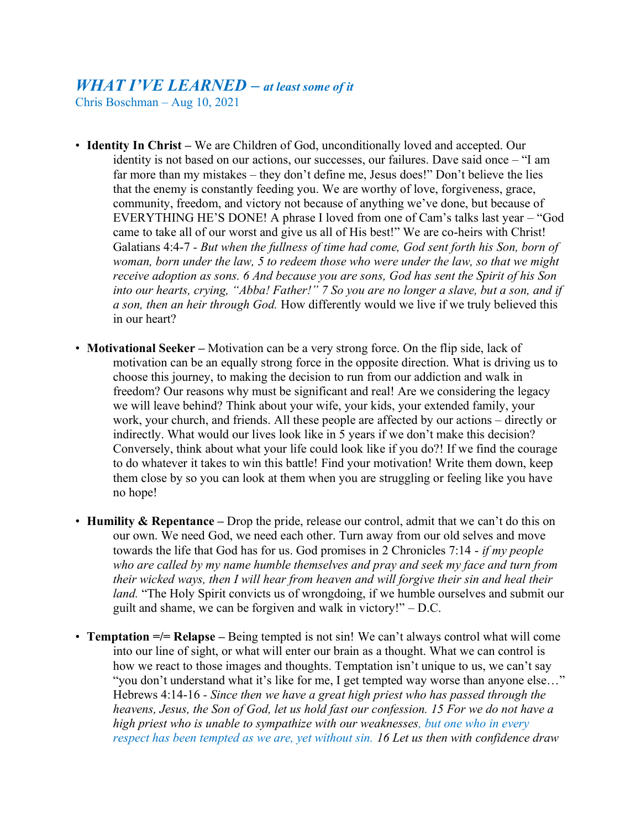## *WHAT I'VE LEARNED – at least some of it*

Chris Boschman – Aug 10, 2021

- **Identity In Christ** We are Children of God, unconditionally loved and accepted. Our identity is not based on our actions, our successes, our failures. Dave said once – "I am far more than my mistakes – they don't define me, Jesus does!" Don't believe the lies that the enemy is constantly feeding you. We are worthy of love, forgiveness, grace, community, freedom, and victory not because of anything we've done, but because of EVERYTHING HE'S DONE! A phrase I loved from one of Cam's talks last year – "God came to take all of our worst and give us all of His best!" We are co-heirs with Christ! Galatians 4:4-7 *- But when the fullness of time had come, God sent forth his Son, born of woman, born under the law, 5 to redeem those who were under the law, so that we might receive adoption as sons. 6 And because you are sons, God has sent the Spirit of his Son into our hearts, crying, "Abba! Father!" 7 So you are no longer a slave, but a son, and if a son, then an heir through God.* How differently would we live if we truly believed this in our heart?
- **Motivational Seeker** Motivation can be a very strong force. On the flip side, lack of motivation can be an equally strong force in the opposite direction. What is driving us to choose this journey, to making the decision to run from our addiction and walk in freedom? Our reasons why must be significant and real! Are we considering the legacy we will leave behind? Think about your wife, your kids, your extended family, your work, your church, and friends. All these people are affected by our actions – directly or indirectly. What would our lives look like in 5 years if we don't make this decision? Conversely, think about what your life could look like if you do?! If we find the courage to do whatever it takes to win this battle! Find your motivation! Write them down, keep them close by so you can look at them when you are struggling or feeling like you have no hope!
- **Humility & Repentance** Drop the pride, release our control, admit that we can't do this on our own. We need God, we need each other. Turn away from our old selves and move towards the life that God has for us. God promises in 2 Chronicles 7:14 - *if my people who are called by my name humble themselves and pray and seek my face and turn from their wicked ways, then I will hear from heaven and will forgive their sin and heal their land.* "The Holy Spirit convicts us of wrongdoing, if we humble ourselves and submit our guilt and shame, we can be forgiven and walk in victory!" – D.C.
- **Temptation =/= Relapse –** Being tempted is not sin! We can't always control what will come into our line of sight, or what will enter our brain as a thought. What we can control is how we react to those images and thoughts. Temptation isn't unique to us, we can't say "you don't understand what it's like for me, I get tempted way worse than anyone else…" Hebrews 4:14-16 *- Since then we have a great high priest who has passed through the heavens, Jesus, the Son of God, let us hold fast our confession. 15 For we do not have a high priest who is unable to sympathize with our weaknesses, but one who in every respect has been tempted as we are, yet without sin. 16 Let us then with confidence draw*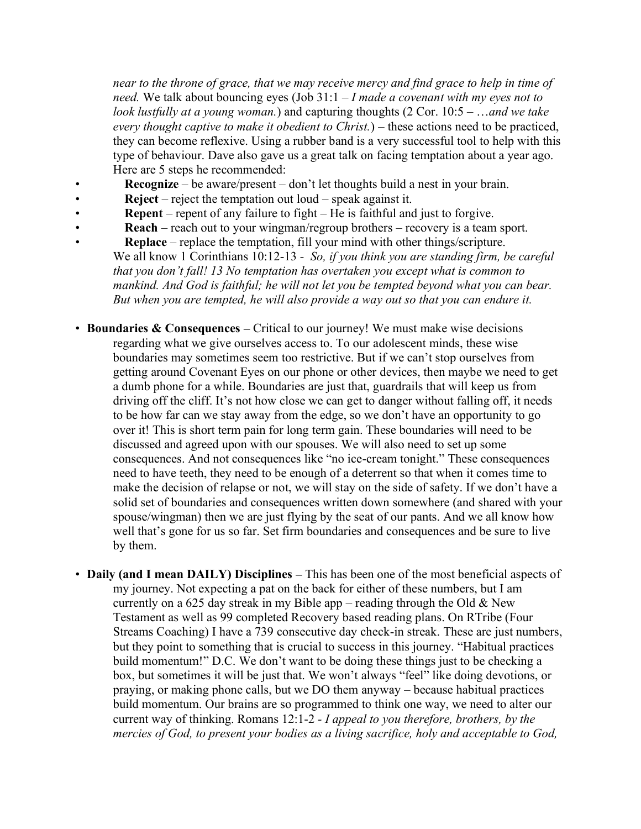*near to the throne of grace, that we may receive mercy and find grace to help in time of need.* We talk about bouncing eyes (Job 31:1 – *I made a covenant with my eyes not to look lustfully at a young woman.*) and capturing thoughts (2 Cor. 10:5 – …*and we take every thought captive to make it obedient to Christ.*) – these actions need to be practiced, they can become reflexive. Using a rubber band is a very successful tool to help with this type of behaviour. Dave also gave us a great talk on facing temptation about a year ago. Here are 5 steps he recommended:

- **Recognize** be aware/present don't let thoughts build a nest in your brain.
- **Reject** reject the temptation out loud speak against it.
- **Repent** repent of any failure to fight He is faithful and just to forgive.
- **Reach** reach out to your wingman/regroup brothers recovery is a team sport.
- **Replace** replace the temptation, fill your mind with other things/scripture. We all know 1 Corinthians 10:12-13 *- So, if you think you are standing firm, be careful that you don't fall! 13 No temptation has overtaken you except what is common to mankind. And God is faithful; he will not let you be tempted beyond what you can bear. But when you are tempted, he will also provide a way out so that you can endure it.*
- **Boundaries & Consequences –** Critical to our journey! We must make wise decisions regarding what we give ourselves access to. To our adolescent minds, these wise boundaries may sometimes seem too restrictive. But if we can't stop ourselves from getting around Covenant Eyes on our phone or other devices, then maybe we need to get a dumb phone for a while. Boundaries are just that, guardrails that will keep us from driving off the cliff. It's not how close we can get to danger without falling off, it needs to be how far can we stay away from the edge, so we don't have an opportunity to go over it! This is short term pain for long term gain. These boundaries will need to be discussed and agreed upon with our spouses. We will also need to set up some consequences. And not consequences like "no ice-cream tonight." These consequences need to have teeth, they need to be enough of a deterrent so that when it comes time to make the decision of relapse or not, we will stay on the side of safety. If we don't have a solid set of boundaries and consequences written down somewhere (and shared with your spouse/wingman) then we are just flying by the seat of our pants. And we all know how well that's gone for us so far. Set firm boundaries and consequences and be sure to live by them.
- **Daily (and I mean DAILY) Disciplines –** This has been one of the most beneficial aspects of my journey. Not expecting a pat on the back for either of these numbers, but I am currently on a 625 day streak in my Bible app – reading through the Old & New Testament as well as 99 completed Recovery based reading plans. On RTribe (Four Streams Coaching) I have a 739 consecutive day check-in streak. These are just numbers, but they point to something that is crucial to success in this journey. "Habitual practices build momentum!" D.C. We don't want to be doing these things just to be checking a box, but sometimes it will be just that. We won't always "feel" like doing devotions, or praying, or making phone calls, but we DO them anyway – because habitual practices build momentum. Our brains are so programmed to think one way, we need to alter our current way of thinking. Romans 12:1-2 *- I appeal to you therefore, brothers, by the mercies of God, to present your bodies as a living sacrifice, holy and acceptable to God,*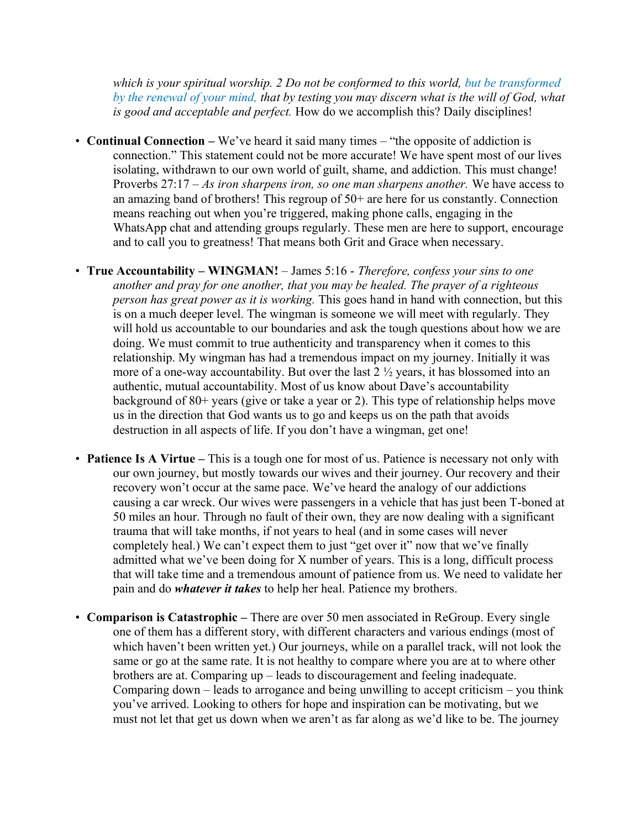*which is your spiritual worship. 2 Do not be conformed to this world, but be transformed by the renewal of your mind, that by testing you may discern what is the will of God, what is good and acceptable and perfect.* How do we accomplish this? Daily disciplines!

- **Continual Connection –** We've heard it said many times "the opposite of addiction is connection." This statement could not be more accurate! We have spent most of our lives isolating, withdrawn to our own world of guilt, shame, and addiction. This must change! Proverbs 27:17 – *As iron sharpens iron, so one man sharpens another.* We have access to an amazing band of brothers! This regroup of  $50<sup>+</sup>$  are here for us constantly. Connection means reaching out when you're triggered, making phone calls, engaging in the WhatsApp chat and attending groups regularly. These men are here to support, encourage and to call you to greatness! That means both Grit and Grace when necessary.
- **True Accountability – WINGMAN!** James 5:16 *Therefore, confess your sins to one another and pray for one another, that you may be healed. The prayer of a righteous person has great power as it is working.* This goes hand in hand with connection, but this is on a much deeper level. The wingman is someone we will meet with regularly. They will hold us accountable to our boundaries and ask the tough questions about how we are doing. We must commit to true authenticity and transparency when it comes to this relationship. My wingman has had a tremendous impact on my journey. Initially it was more of a one-way accountability. But over the last  $2\frac{1}{2}$  years, it has blossomed into an authentic, mutual accountability. Most of us know about Dave's accountability background of 80+ years (give or take a year or 2). This type of relationship helps move us in the direction that God wants us to go and keeps us on the path that avoids destruction in all aspects of life. If you don't have a wingman, get one!
- **Patience Is A Virtue** This is a tough one for most of us. Patience is necessary not only with our own journey, but mostly towards our wives and their journey. Our recovery and their recovery won't occur at the same pace. We've heard the analogy of our addictions causing a car wreck. Our wives were passengers in a vehicle that has just been T-boned at 50 miles an hour. Through no fault of their own, they are now dealing with a significant trauma that will take months, if not years to heal (and in some cases will never completely heal.) We can't expect them to just "get over it" now that we've finally admitted what we've been doing for X number of years. This is a long, difficult process that will take time and a tremendous amount of patience from us. We need to validate her pain and do *whatever it takes* to help her heal. Patience my brothers.
- **Comparison is Catastrophic** There are over 50 men associated in ReGroup. Every single one of them has a different story, with different characters and various endings (most of which haven't been written yet.) Our journeys, while on a parallel track, will not look the same or go at the same rate. It is not healthy to compare where you are at to where other brothers are at. Comparing up – leads to discouragement and feeling inadequate. Comparing down  $-$  leads to arrogance and being unwilling to accept criticism  $-$  you think you've arrived. Looking to others for hope and inspiration can be motivating, but we must not let that get us down when we aren't as far along as we'd like to be. The journey